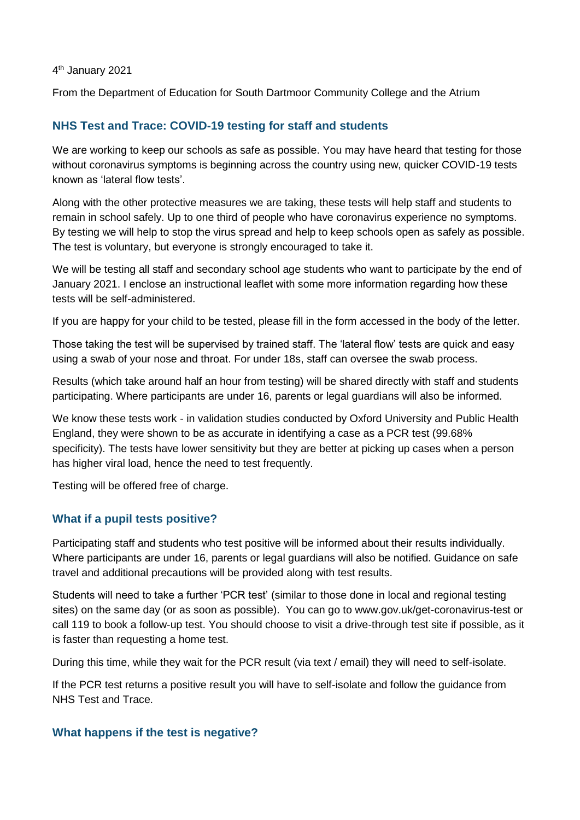#### 4 th January 2021

From the Department of Education for South Dartmoor Community College and the Atrium

## **NHS Test and Trace: COVID-19 testing for staff and students**

We are working to keep our schools as safe as possible. You may have heard that testing for those without coronavirus symptoms is beginning across the country using new, quicker COVID-19 tests known as 'lateral flow tests'.

Along with the other protective measures we are taking, these tests will help staff and students to remain in school safely. Up to one third of people who have coronavirus experience no symptoms. By testing we will help to stop the virus spread and help to keep schools open as safely as possible. The test is voluntary, but everyone is strongly encouraged to take it.

We will be testing all staff and secondary school age students who want to participate by the end of January 2021. I enclose an instructional leaflet with some more information regarding how these tests will be self-administered.

If you are happy for your child to be tested, please fill in the form accessed in the body of the letter.

Those taking the test will be supervised by trained staff. The 'lateral flow' tests are quick and easy using a swab of your nose and throat. For under 18s, staff can oversee the swab process.

Results (which take around half an hour from testing) will be shared directly with staff and students participating. Where participants are under 16, parents or legal guardians will also be informed.

We know these tests work - in validation studies conducted by Oxford University and Public Health England, they were shown to be as accurate in identifying a case as a PCR test (99.68% specificity). The tests have lower sensitivity but they are better at picking up cases when a person has higher viral load, hence the need to test frequently.

Testing will be offered free of charge.

## **What if a pupil tests positive?**

Participating staff and students who test positive will be informed about their results individually. Where participants are under 16, parents or legal guardians will also be notified. Guidance on safe travel and additional precautions will be provided along with test results.

Students will need to take a further 'PCR test' (similar to those done in local and regional testing sites) on the same day (or as soon as possible). You can go to www.gov.uk/get-coronavirus-test or call 119 to book a follow-up test. You should choose to visit a drive-through test site if possible, as it is faster than requesting a home test.

During this time, while they wait for the PCR result (via text / email) they will need to self-isolate.

If the PCR test returns a positive result you will have to self-isolate and follow the guidance from NHS Test and Trace.

### **What happens if the test is negative?**